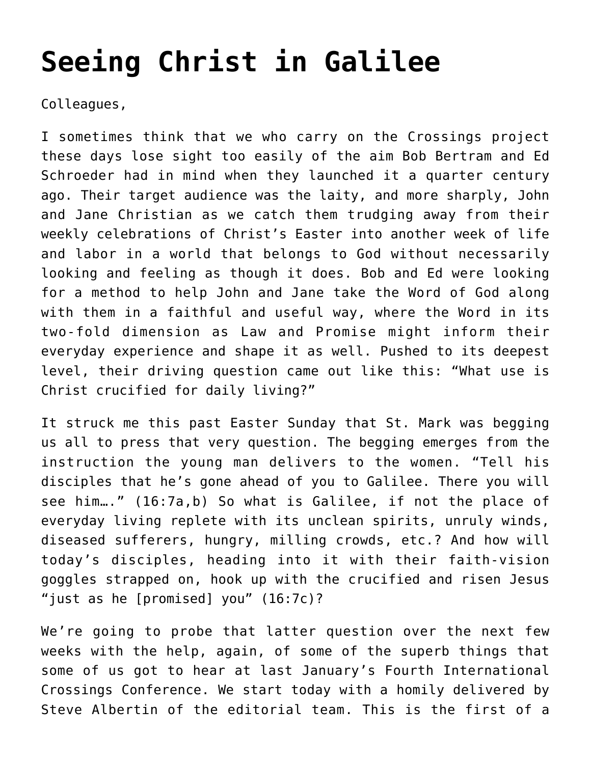## **[Seeing Christ in Galilee](https://crossings.org/seeing-christ-in-galilee/)**

Colleagues,

I sometimes think that we who carry on the Crossings project these days lose sight too easily of the aim Bob Bertram and Ed Schroeder had in mind when they launched it a quarter century ago. Their target audience was the laity, and more sharply, John and Jane Christian as we catch them trudging away from their weekly celebrations of Christ's Easter into another week of life and labor in a world that belongs to God without necessarily looking and feeling as though it does. Bob and Ed were looking for a method to help John and Jane take the Word of God along with them in a faithful and useful way, where the Word in its two-fold dimension as Law and Promise might inform their everyday experience and shape it as well. Pushed to its deepest level, their driving question came out like this: "What use is Christ crucified for daily living?"

It struck me this past Easter Sunday that St. Mark was begging us all to press that very question. The begging emerges from the instruction the young man delivers to the women. "Tell his disciples that he's gone ahead of you to Galilee. There you will see him…." (16:7a,b) So what is Galilee, if not the place of everyday living replete with its unclean spirits, unruly winds, diseased sufferers, hungry, milling crowds, etc.? And how will today's disciples, heading into it with their faith-vision goggles strapped on, hook up with the crucified and risen Jesus "just as he [promised] you" (16:7c)?

We're going to probe that latter question over the next few weeks with the help, again, of some of the superb things that some of us got to hear at last January's Fourth International Crossings Conference. We start today with a homily delivered by Steve Albertin of the editorial team. This is the first of a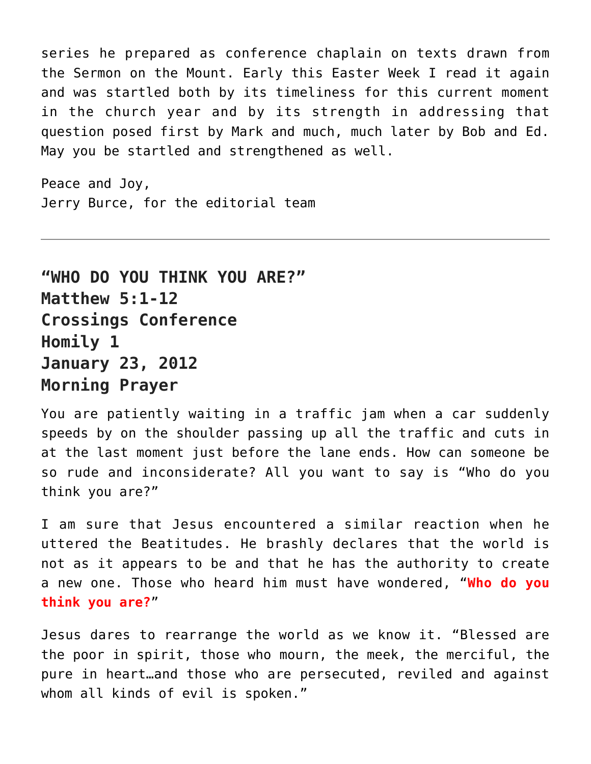series he prepared as conference chaplain on texts drawn from the Sermon on the Mount. Early this Easter Week I read it again and was startled both by its timeliness for this current moment in the church year and by its strength in addressing that question posed first by Mark and much, much later by Bob and Ed. May you be startled and strengthened as well.

Peace and Joy, Jerry Burce, for the editorial team

**"WHO DO YOU THINK YOU ARE?" Matthew 5:1-12 Crossings Conference Homily 1 January 23, 2012 Morning Prayer**

You are patiently waiting in a traffic jam when a car suddenly speeds by on the shoulder passing up all the traffic and cuts in at the last moment just before the lane ends. How can someone be so rude and inconsiderate? All you want to say is "Who do you think you are?"

I am sure that Jesus encountered a similar reaction when he uttered the Beatitudes. He brashly declares that the world is not as it appears to be and that he has the authority to create a new one. Those who heard him must have wondered, "**Who do you think you are?**"

Jesus dares to rearrange the world as we know it. "Blessed are the poor in spirit, those who mourn, the meek, the merciful, the pure in heart…and those who are persecuted, reviled and against whom all kinds of evil is spoken."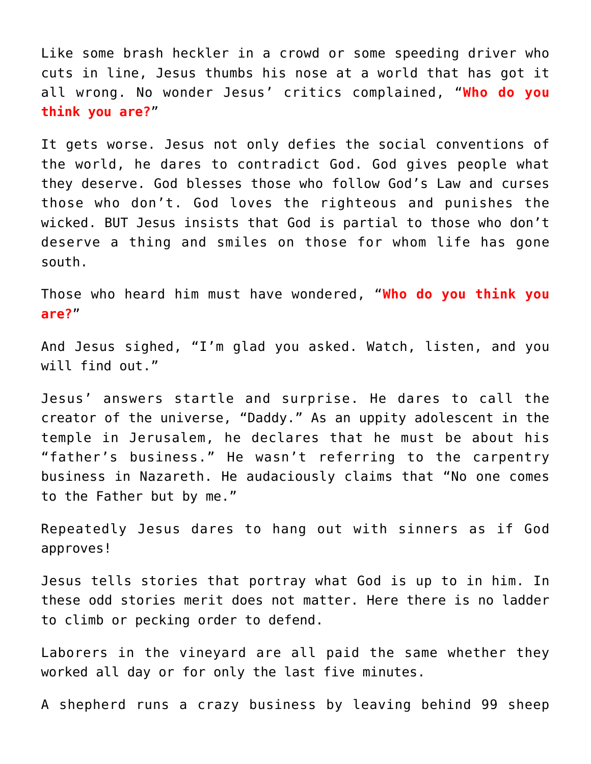Like some brash heckler in a crowd or some speeding driver who cuts in line, Jesus thumbs his nose at a world that has got it all wrong. No wonder Jesus' critics complained, "**Who do you think you are?**"

It gets worse. Jesus not only defies the social conventions of the world, he dares to contradict God. God gives people what they deserve. God blesses those who follow God's Law and curses those who don't. God loves the righteous and punishes the wicked. BUT Jesus insists that God is partial to those who don't deserve a thing and smiles on those for whom life has gone south.

Those who heard him must have wondered, "**Who do you think you are?**"

And Jesus sighed, "I'm glad you asked. Watch, listen, and you will find out."

Jesus' answers startle and surprise. He dares to call the creator of the universe, "Daddy." As an uppity adolescent in the temple in Jerusalem, he declares that he must be about his "father's business." He wasn't referring to the carpentry business in Nazareth. He audaciously claims that "No one comes to the Father but by me."

Repeatedly Jesus dares to hang out with sinners as if God approves!

Jesus tells stories that portray what God is up to in him. In these odd stories merit does not matter. Here there is no ladder to climb or pecking order to defend.

Laborers in the vineyard are all paid the same whether they worked all day or for only the last five minutes.

A shepherd runs a crazy business by leaving behind 99 sheep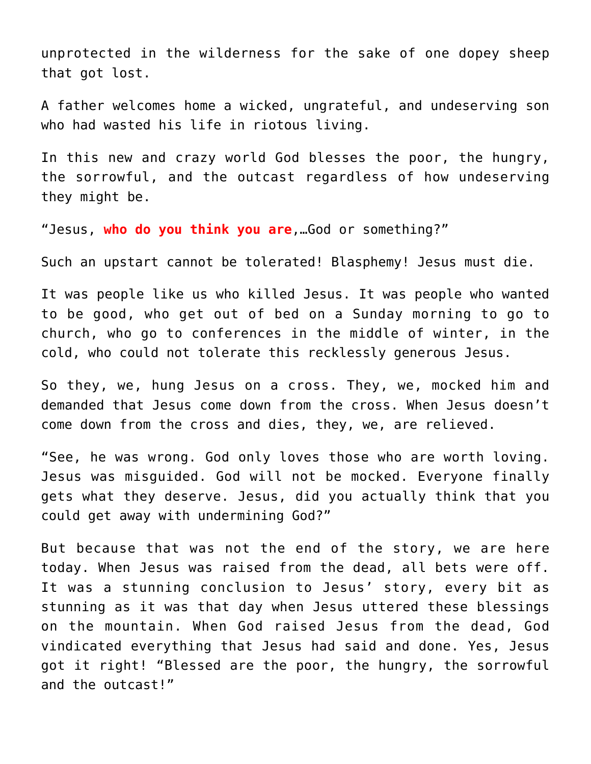unprotected in the wilderness for the sake of one dopey sheep that got lost.

A father welcomes home a wicked, ungrateful, and undeserving son who had wasted his life in riotous living.

In this new and crazy world God blesses the poor, the hungry, the sorrowful, and the outcast regardless of how undeserving they might be.

"Jesus, **who do you think you are**,…God or something?"

Such an upstart cannot be tolerated! Blasphemy! Jesus must die.

It was people like us who killed Jesus. It was people who wanted to be good, who get out of bed on a Sunday morning to go to church, who go to conferences in the middle of winter, in the cold, who could not tolerate this recklessly generous Jesus.

So they, we, hung Jesus on a cross. They, we, mocked him and demanded that Jesus come down from the cross. When Jesus doesn't come down from the cross and dies, they, we, are relieved.

"See, he was wrong. God only loves those who are worth loving. Jesus was misguided. God will not be mocked. Everyone finally gets what they deserve. Jesus, did you actually think that you could get away with undermining God?"

But because that was not the end of the story, we are here today. When Jesus was raised from the dead, all bets were off. It was a stunning conclusion to Jesus' story, every bit as stunning as it was that day when Jesus uttered these blessings on the mountain. When God raised Jesus from the dead, God vindicated everything that Jesus had said and done. Yes, Jesus got it right! "Blessed are the poor, the hungry, the sorrowful and the outcast!"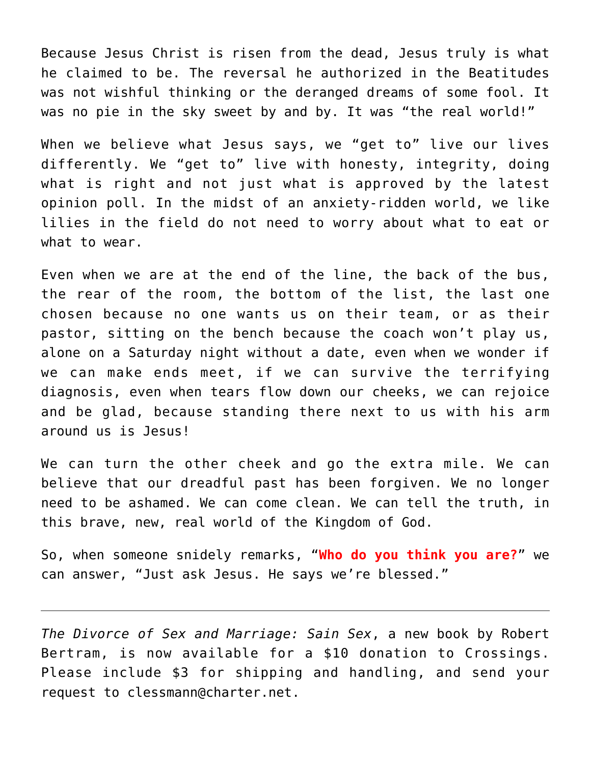Because Jesus Christ is risen from the dead, Jesus truly is what he claimed to be. The reversal he authorized in the Beatitudes was not wishful thinking or the deranged dreams of some fool. It was no pie in the sky sweet by and by. It was "the real world!"

When we believe what Jesus says, we "get to" live our lives differently. We "get to" live with honesty, integrity, doing what is right and not just what is approved by the latest opinion poll. In the midst of an anxiety-ridden world, we like lilies in the field do not need to worry about what to eat or what to wear.

Even when we are at the end of the line, the back of the bus, the rear of the room, the bottom of the list, the last one chosen because no one wants us on their team, or as their pastor, sitting on the bench because the coach won't play us, alone on a Saturday night without a date, even when we wonder if we can make ends meet, if we can survive the terrifying diagnosis, even when tears flow down our cheeks, we can rejoice and be glad, because standing there next to us with his arm around us is Jesus!

We can turn the other cheek and go the extra mile. We can believe that our dreadful past has been forgiven. We no longer need to be ashamed. We can come clean. We can tell the truth, in this brave, new, real world of the Kingdom of God.

So, when someone snidely remarks, "**Who do you think you are?**" we can answer, "Just ask Jesus. He says we're blessed."

*The Divorce of Sex and Marriage: Sain Sex*, a new book by Robert Bertram, is now available for a \$10 donation to Crossings. Please include \$3 for shipping and handling, and send your request to clessmann@charter.net.